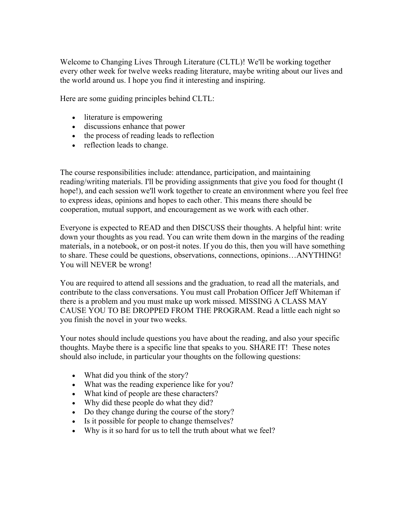Welcome to Changing Lives Through Literature (CLTL)! We'll be working together every other week for twelve weeks reading literature, maybe writing about our lives and the world around us. I hope you find it interesting and inspiring.

Here are some guiding principles behind CLTL:

- literature is empowering
- discussions enhance that power
- the process of reading leads to reflection
- reflection leads to change.

The course responsibilities include: attendance, participation, and maintaining reading/writing materials. I'll be providing assignments that give you food for thought (I hope!), and each session we'll work together to create an environment where you feel free to express ideas, opinions and hopes to each other. This means there should be cooperation, mutual support, and encouragement as we work with each other.

Everyone is expected to READ and then DISCUSS their thoughts. A helpful hint: write down your thoughts as you read. You can write them down in the margins of the reading materials, in a notebook, or on post-it notes. If you do this, then you will have something to share. These could be questions, observations, connections, opinions…ANYTHING! You will NEVER be wrong!

You are required to attend all sessions and the graduation, to read all the materials, and contribute to the class conversations. You must call Probation Officer Jeff Whiteman if there is a problem and you must make up work missed. MISSING A CLASS MAY CAUSE YOU TO BE DROPPED FROM THE PROGRAM. Read a little each night so you finish the novel in your two weeks.

Your notes should include questions you have about the reading, and also your specific thoughts. Maybe there is a specific line that speaks to you. SHARE IT! These notes should also include, in particular your thoughts on the following questions:

- What did you think of the story?
- What was the reading experience like for you?
- What kind of people are these characters?
- Why did these people do what they did?
- Do they change during the course of the story?
- Is it possible for people to change themselves?
- Why is it so hard for us to tell the truth about what we feel?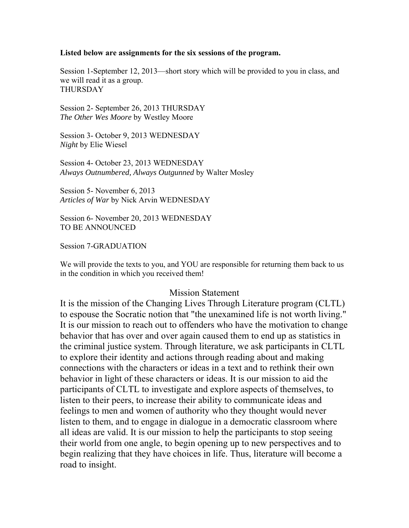## **Listed below are assignments for the six sessions of the program.**

Session 1-September 12, 2013—short story which will be provided to you in class, and we will read it as a group. THURSDAY

Session 2- September 26, 2013 THURSDAY *The Other Wes Moore* by Westley Moore

Session 3- October 9, 2013 WEDNESDAY *Night* by Elie Wiesel

Session 4- October 23, 2013 WEDNESDAY *Always Outnumbered, Always Outgunned* by Walter Mosley

Session 5- November 6, 2013 *Articles of War* by Nick Arvin WEDNESDAY

Session 6- November 20, 2013 WEDNESDAY TO BE ANNOUNCED

Session 7-GRADUATION

We will provide the texts to you, and YOU are responsible for returning them back to us in the condition in which you received them!

## Mission Statement

It is the mission of the Changing Lives Through Literature program (CLTL) to espouse the Socratic notion that "the unexamined life is not worth living." It is our mission to reach out to offenders who have the motivation to change behavior that has over and over again caused them to end up as statistics in the criminal justice system. Through literature, we ask participants in CLTL to explore their identity and actions through reading about and making connections with the characters or ideas in a text and to rethink their own behavior in light of these characters or ideas. It is our mission to aid the participants of CLTL to investigate and explore aspects of themselves, to listen to their peers, to increase their ability to communicate ideas and feelings to men and women of authority who they thought would never listen to them, and to engage in dialogue in a democratic classroom where all ideas are valid. It is our mission to help the participants to stop seeing their world from one angle, to begin opening up to new perspectives and to begin realizing that they have choices in life. Thus, literature will become a road to insight.